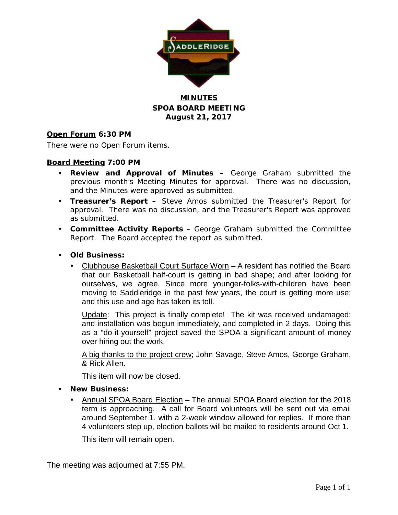

## **MINUTES SPOA BOARD MEETING August 21, 2017**

## **Open Forum 6:30 PM**

There were no Open Forum items.

## **Board Meeting 7:00 PM**

- **Review and Approval of Minutes –** George Graham submitted the previous month's Meeting Minutes for approval. There was no discussion, and the Minutes were approved as submitted.
- **Treasurer's Report –** Steve Amos submitted the Treasurer's Report for approval. There was no discussion, and the Treasurer's Report was approved as submitted.
- **Committee Activity Reports -** George Graham submitted the Committee Report. The Board accepted the report as submitted.
- **Old Business:**
	- Clubhouse Basketball Court Surface Worn A resident has notified the Board that our Basketball half-court is getting in bad shape; and after looking for ourselves, we agree. Since more younger-folks-with-children have been moving to Saddleridge in the past few years, the court is getting more use; and this use and age has taken its toll.

Update: This project is finally complete! The kit was received undamaged; and installation was begun immediately, and completed in 2 days. Doing this as a "do-it-yourself" project saved the SPOA a significant amount of money over hiring out the work.

A big thanks to the project crew; John Savage, Steve Amos, George Graham, & Rick Allen.

This item will now be closed.

#### **New Business:**

• Annual SPOA Board Election - The annual SPOA Board election for the 2018 term is approaching. A call for Board volunteers will be sent out via email around September 1, with a 2-week window allowed for replies. If more than 4 volunteers step up, election ballots will be mailed to residents around Oct 1.

This item will remain open.

The meeting was adjourned at 7:55 PM.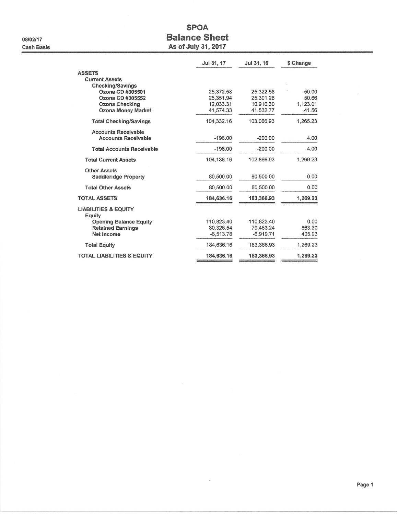08/02/17 **Cash Basis** 

# **SPOA Balance Sheet** As of July 31, 2017

|                                           | Jul 31, 17   | Jul 31, 16  | \$ Change |
|-------------------------------------------|--------------|-------------|-----------|
| <b>ASSETS</b>                             |              |             |           |
| <b>Current Assets</b>                     |              |             |           |
| <b>Checking/Savings</b>                   |              |             |           |
| Ozona CD #305501                          | 25,372.58    | 25,322.58   | 50.00     |
| Ozona CD #305552                          | 25.351.94    | 25.301.28   | 50.66     |
| <b>Ozona Checking</b>                     | 12,033.31    | 10,910.30   | 1,123.01  |
| <b>Ozona Money Market</b>                 | 41,574.33    | 41,532.77   | 41.56     |
| <b>Total Checking/Savings</b>             | 104,332.16   | 103,066.93  | 1,265.23  |
| <b>Accounts Receivable</b>                |              |             |           |
| <b>Accounts Receivable</b>                | $-196.00$    | $-200.00$   | 4.00      |
| <b>Total Accounts Receivable</b>          | $-196.00$    | $-200.00$   | 4.00      |
| <b>Total Current Assets</b>               | 104, 136. 16 | 102,866.93  | 1,269.23  |
| <b>Other Assets</b>                       |              |             |           |
| <b>Saddleridge Property</b>               | 80,500.00    | 80,500.00   | 0.00      |
| <b>Total Other Assets</b>                 | 80,500.00    | 80.500.00   | 0.00      |
| <b>TOTAL ASSETS</b>                       | 184,636.16   | 183,366.93  | 1,269.23  |
| <b>LIABILITIES &amp; EQUITY</b><br>Equity |              |             |           |
| <b>Opening Balance Equity</b>             | 110,823.40   | 110,823.40  | 0.00      |
| <b>Retained Earnings</b>                  | 80.326.54    | 79.463.24   | 863.30    |
| Net Income                                | $-6.513.78$  | $-6.919.71$ | 405.93    |
| <b>Total Equity</b>                       | 184.636.16   | 183.366.93  | 1.269.23  |
| <b>TOTAL LIABILITIES &amp; EQUITY</b>     | 184,636.16   | 183,366.93  | 1,269.23  |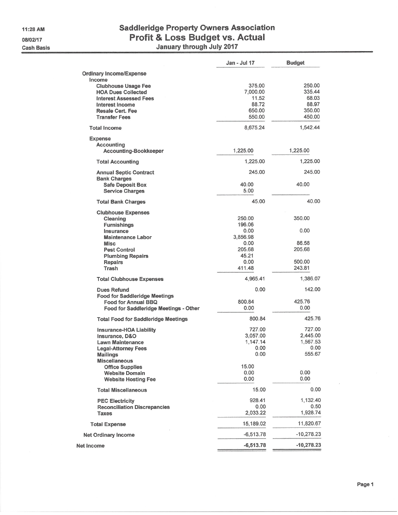11:28 AM 08/02/17 **Cash Basis** 

# Saddleridge Property Owners Association<br>Profit & Loss Budget vs. Actual<br>January through July 2017

|                                                                                                                                                                          | Jan - Jul 17                                             | <b>Budget</b>                                          |
|--------------------------------------------------------------------------------------------------------------------------------------------------------------------------|----------------------------------------------------------|--------------------------------------------------------|
| <b>Ordinary Income/Expense</b>                                                                                                                                           |                                                          |                                                        |
| Income<br><b>Clubhouse Usage Fee</b><br><b>HOA Dues Collected</b><br><b>Interest Assessed Fees</b><br>Interest Income<br><b>Resale Cert. Fee</b><br><b>Transfer Fees</b> | 375.00<br>7,000.00<br>11.52<br>88.72<br>650.00<br>550.00 | 250.00<br>335.44<br>68.03<br>88.97<br>350.00<br>450.00 |
| <b>Total Income</b>                                                                                                                                                      | 8,675.24                                                 | 1,542.44                                               |
| <b>Expense</b><br><b>Accounting</b><br><b>Accounting-Bookkeeper</b>                                                                                                      | 1,225.00                                                 | 1,225.00                                               |
| <b>Total Accounting</b>                                                                                                                                                  | 1,225.00                                                 | 1,225.00                                               |
| <b>Annual Septic Contract</b><br><b>Bank Charges</b>                                                                                                                     | 245.00                                                   | 245,00                                                 |
| <b>Safe Deposit Box</b><br><b>Service Charges</b>                                                                                                                        | 40.00<br>5.00                                            | 40.00                                                  |
| <b>Total Bank Charges</b>                                                                                                                                                | 45.00                                                    | 40.00                                                  |
| <b>Clubhouse Expenses</b><br>Cleaning<br><b>Furnishings</b><br>Insurance                                                                                                 | 250.00<br>196.06<br>0.00                                 | 350.00<br>0.00                                         |
| <b>Maintenance Labor</b><br><b>Misc</b><br><b>Pest Control</b><br><b>Plumbing Repairs</b>                                                                                | 3,856.98<br>0.00<br>205.68<br>45.21                      | 86.58<br>205.68                                        |
| <b>Repairs</b><br>Trash                                                                                                                                                  | 0.00<br>411.48                                           | 500.00<br>243.81                                       |
| <b>Total Clubhouse Expenses</b>                                                                                                                                          | 4,965.41                                                 | 1,386.07                                               |
| <b>Dues Refund</b><br><b>Food for Saddleridge Meetings</b><br>Food for Annual BBQ                                                                                        | 0.00<br>800.84<br>0.00                                   | 142.00<br>425.76<br>0.00                               |
| Food for Saddleridge Meetings - Other<br><b>Total Food for Saddleridge Meetings</b>                                                                                      | 800.84                                                   | 425.76                                                 |
| Insurance-HOA Liability<br>Insurance, D&O<br><b>Lawn Maintenance</b><br><b>Legal-Attorney Fees</b><br><b>Mailings</b><br><b>Miscellaneous</b>                            | 727.00<br>3,057.00<br>1,147.14<br>0.00<br>0.00           | 727.00<br>2,445.00<br>1,567.53<br>0.00<br>555.67       |
| <b>Office Supplies</b><br><b>Website Domain</b><br><b>Website Hosting Fee</b>                                                                                            | 15.00<br>0.00<br>0.00                                    | 0.00<br>0.00                                           |
| <b>Total Miscellaneous</b>                                                                                                                                               | 15.00                                                    | 0.00                                                   |
| <b>PEC Electricity</b><br><b>Reconciliation Discrepancies</b><br><b>Taxes</b>                                                                                            | 928.41<br>0.00<br>2,033.22                               | 1,132.40<br>0.50<br>1,928.74                           |
| <b>Total Expense</b>                                                                                                                                                     | 15,189.02                                                | 11,820.67                                              |
| <b>Net Ordinary Income</b>                                                                                                                                               | $-6,513.78$                                              | $-10,278.23$                                           |
| Net Income                                                                                                                                                               | $-6,513.78$                                              | $-10,278.23$                                           |